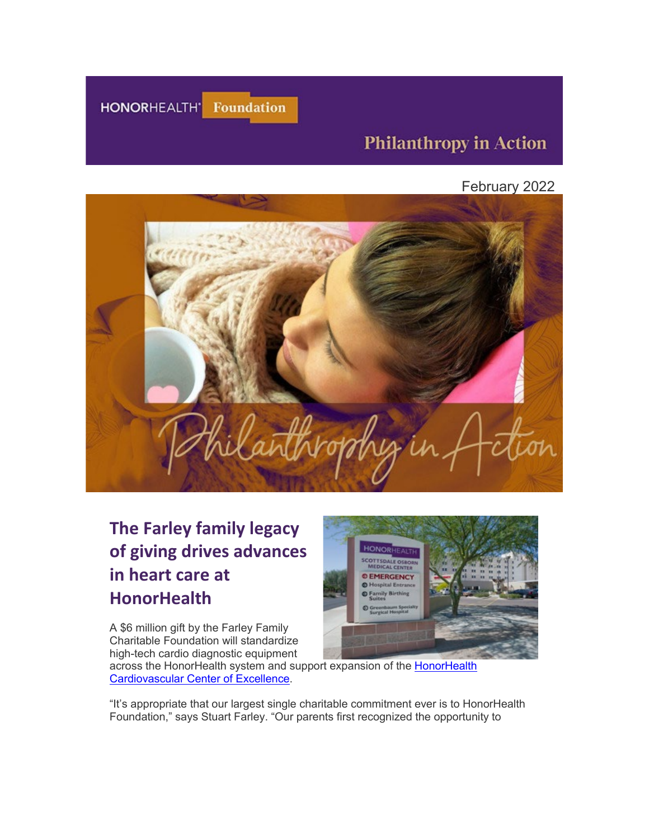

## **Philanthropy in Action**

February 2022



# **The Farley family legacy of giving drives advances in heart care at HonorHealth**

A \$6 million gift by the Farley Family Charitable Foundation will standardize high-tech cardio diagnostic equipment



across the HonorHealth system and support expansion of the [HonorHealth](https://urldefense.com/v3/__https:/eml-pusa01.app.blackbaud.net/intv2/j/CF77140A-02B1-4C62-ACFA-A8D24DACA862/r/CF77140A-02B1-4C62-ACFA-A8D24DACA862_d33535db-afd3-4cf2-b20a-c528552561cf/l/A13A6B7A-1396-4CD2-BE72-200573DF3DC6/c__;!!AtGvImiT!mzldLfk1YOpGS8zJ6shJ5eZj8wpYndxVzod4XpsX5IhfgfDNmnT2f0H9up_zVPgGsA$)  [Cardiovascular Center of Excellence.](https://urldefense.com/v3/__https:/eml-pusa01.app.blackbaud.net/intv2/j/CF77140A-02B1-4C62-ACFA-A8D24DACA862/r/CF77140A-02B1-4C62-ACFA-A8D24DACA862_d33535db-afd3-4cf2-b20a-c528552561cf/l/A13A6B7A-1396-4CD2-BE72-200573DF3DC6/c__;!!AtGvImiT!mzldLfk1YOpGS8zJ6shJ5eZj8wpYndxVzod4XpsX5IhfgfDNmnT2f0H9up_zVPgGsA$)

"It's appropriate that our largest single charitable commitment ever is to HonorHealth Foundation," says Stuart Farley. "Our parents first recognized the opportunity to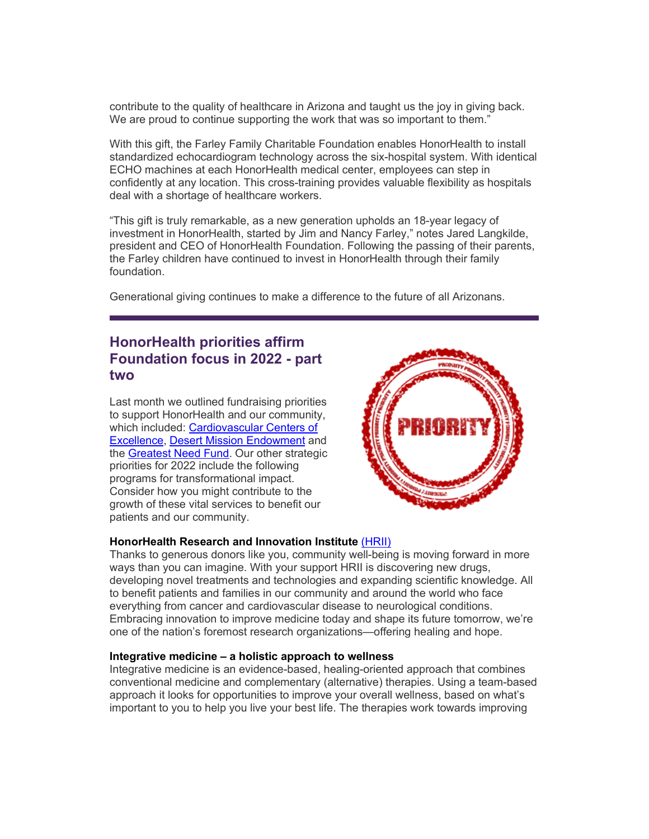contribute to the quality of healthcare in Arizona and taught us the joy in giving back. We are proud to continue supporting the work that was so important to them."

With this gift, the Farley Family Charitable Foundation enables HonorHealth to install standardized echocardiogram technology across the six-hospital system. With identical ECHO machines at each HonorHealth medical center, employees can step in confidently at any location. This cross-training provides valuable flexibility as hospitals deal with a shortage of healthcare workers.

"This gift is truly remarkable, as a new generation upholds an 18-year legacy of investment in HonorHealth, started by Jim and Nancy Farley," notes Jared Langkilde, president and CEO of HonorHealth Foundation. Following the passing of their parents, the Farley children have continued to invest in HonorHealth through their family foundation.

Generational giving continues to make a difference to the future of all Arizonans.

## **HonorHealth priorities affirm Foundation focus in 2022 - part two**

Last month we outlined fundraising priorities to support HonorHealth and our community, which included: [Cardiovascular Centers of](https://urldefense.com/v3/__https:/eml-pusa01.app.blackbaud.net/intv2/j/CF77140A-02B1-4C62-ACFA-A8D24DACA862/r/CF77140A-02B1-4C62-ACFA-A8D24DACA862_d33535db-afd3-4cf2-b20a-c528552561cf/l/82136BEE-EEAF-4309-B8F4-FAF7F229B142/c__;!!AtGvImiT!mzldLfk1YOpGS8zJ6shJ5eZj8wpYndxVzod4XpsX5IhfgfDNmnT2f0H9up8HRTMVig$)  [Excellence,](https://urldefense.com/v3/__https:/eml-pusa01.app.blackbaud.net/intv2/j/CF77140A-02B1-4C62-ACFA-A8D24DACA862/r/CF77140A-02B1-4C62-ACFA-A8D24DACA862_d33535db-afd3-4cf2-b20a-c528552561cf/l/82136BEE-EEAF-4309-B8F4-FAF7F229B142/c__;!!AtGvImiT!mzldLfk1YOpGS8zJ6shJ5eZj8wpYndxVzod4XpsX5IhfgfDNmnT2f0H9up8HRTMVig$) [Desert Mission Endowment](https://urldefense.com/v3/__https:/eml-pusa01.app.blackbaud.net/intv2/j/CF77140A-02B1-4C62-ACFA-A8D24DACA862/r/CF77140A-02B1-4C62-ACFA-A8D24DACA862_d33535db-afd3-4cf2-b20a-c528552561cf/l/4101D346-CDD0-4E35-A570-DDBA01D60C30/c__;!!AtGvImiT!mzldLfk1YOpGS8zJ6shJ5eZj8wpYndxVzod4XpsX5IhfgfDNmnT2f0H9up-UCSaylw$) and the [Greatest Need Fund.](https://urldefense.com/v3/__https:/eml-pusa01.app.blackbaud.net/intv2/j/CF77140A-02B1-4C62-ACFA-A8D24DACA862/r/CF77140A-02B1-4C62-ACFA-A8D24DACA862_d33535db-afd3-4cf2-b20a-c528552561cf/l/636C7866-712A-4D9F-928F-5D1C89E6F3A4/c__;!!AtGvImiT!mzldLfk1YOpGS8zJ6shJ5eZj8wpYndxVzod4XpsX5IhfgfDNmnT2f0H9up-WHVWYjQ$) Our other strategic priorities for 2022 include the following programs for transformational impact. Consider how you might contribute to the growth of these vital services to benefit our patients and our community.



#### **[HonorHealth Research and Innovation Institute](https://urldefense.com/v3/__https:/eml-pusa01.app.blackbaud.net/intv2/j/CF77140A-02B1-4C62-ACFA-A8D24DACA862/r/CF77140A-02B1-4C62-ACFA-A8D24DACA862_d33535db-afd3-4cf2-b20a-c528552561cf/l/6BEE248F-E042-4E0B-A32C-B596ADCC610C/c__;!!AtGvImiT!mzldLfk1YOpGS8zJ6shJ5eZj8wpYndxVzod4XpsX5IhfgfDNmnT2f0H9up_8fVSZrw$)** (HRII)

Thanks to generous donors like you, community well-being is moving forward in more ways than you can imagine. With your support HRII is discovering new drugs, developing novel treatments and technologies and expanding scientific knowledge. All to benefit patients and families in our community and around the world who face everything from cancer and cardiovascular disease to neurological conditions. Embracing innovation to improve medicine today and shape its future tomorrow, we're one of the nation's foremost research organizations—offering healing and hope.

#### **[Integrative medicine – a holistic approach to wellness](https://urldefense.com/v3/__https:/eml-pusa01.app.blackbaud.net/intv2/j/CF77140A-02B1-4C62-ACFA-A8D24DACA862/r/CF77140A-02B1-4C62-ACFA-A8D24DACA862_d33535db-afd3-4cf2-b20a-c528552561cf/l/8B21A282-3074-4588-92D5-913620639118/c__;!!AtGvImiT!mzldLfk1YOpGS8zJ6shJ5eZj8wpYndxVzod4XpsX5IhfgfDNmnT2f0H9up85qwF5jg$)**

Integrative medicine is an evidence-based, healing-oriented approach that combines conventional medicine and complementary (alternative) therapies. Using a team-based approach it looks for opportunities to improve your overall wellness, based on what's important to you to help you live your best life. The therapies work towards improving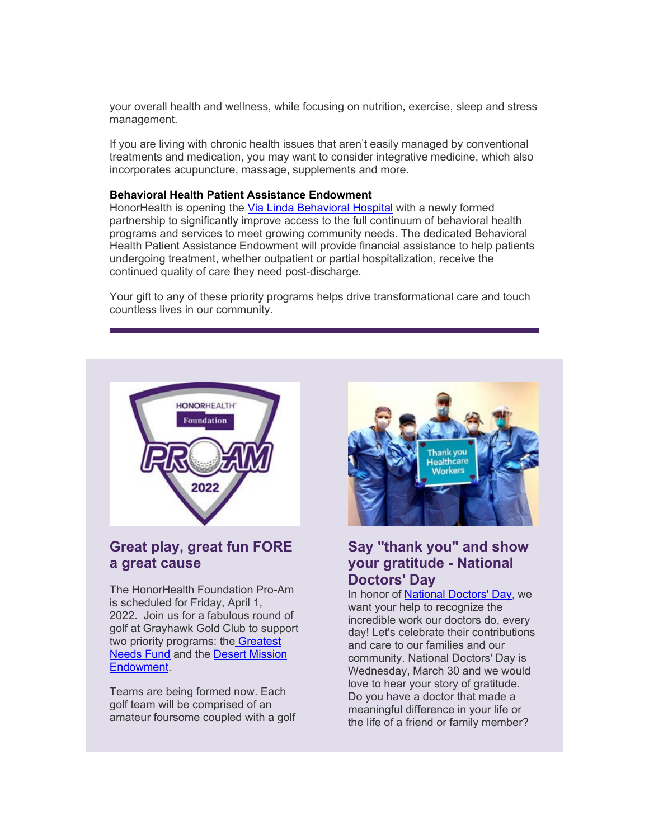your overall health and wellness, while focusing on nutrition, exercise, sleep and stress management.

If you are living with chronic health issues that aren't easily managed by conventional treatments and medication, you may want to consider integrative medicine, which also incorporates acupuncture, massage, supplements and more.

#### **[Behavioral Health Patient Assistance Endowment](https://urldefense.com/v3/__https:/eml-pusa01.app.blackbaud.net/intv2/j/CF77140A-02B1-4C62-ACFA-A8D24DACA862/r/CF77140A-02B1-4C62-ACFA-A8D24DACA862_d33535db-afd3-4cf2-b20a-c528552561cf/l/7CA56FEA-E3EC-48C8-9FDC-DD96BE64DED7/c__;!!AtGvImiT!mzldLfk1YOpGS8zJ6shJ5eZj8wpYndxVzod4XpsX5IhfgfDNmnT2f0H9up9vrMHA6g$)**

HonorHealth is opening the [Via Linda Behavioral](https://urldefense.com/v3/__https:/eml-pusa01.app.blackbaud.net/intv2/j/CF77140A-02B1-4C62-ACFA-A8D24DACA862/r/CF77140A-02B1-4C62-ACFA-A8D24DACA862_d33535db-afd3-4cf2-b20a-c528552561cf/l/0FE35293-C428-4873-A0DE-2FBC7F9B87E8/c__;!!AtGvImiT!mzldLfk1YOpGS8zJ6shJ5eZj8wpYndxVzod4XpsX5IhfgfDNmnT2f0H9up9uaFnq9g$) Hospital with a newly formed partnership to significantly improve access to the full continuum of behavioral health programs and services to meet growing community needs. The dedicated Behavioral Health Patient Assistance Endowment will provide financial assistance to help patients undergoing treatment, whether outpatient or partial hospitalization, receive the continued quality of care they need post-discharge.

Your gift to any of these priority programs helps drive transformational care and touch countless lives in our community.



## **Great play, great fun FORE a great cause**

The HonorHealth Foundation Pro-Am is scheduled for Friday, April 1, 2022. Join us for a fabulous round of golf at Grayhawk Gold Club to support two priority programs: the [Greatest](https://urldefense.com/v3/__https:/eml-pusa01.app.blackbaud.net/intv2/j/CF77140A-02B1-4C62-ACFA-A8D24DACA862/r/CF77140A-02B1-4C62-ACFA-A8D24DACA862_d33535db-afd3-4cf2-b20a-c528552561cf/l/13F89B17-7751-4C8C-A4BB-16B2466D255D/c__;!!AtGvImiT!mzldLfk1YOpGS8zJ6shJ5eZj8wpYndxVzod4XpsX5IhfgfDNmnT2f0H9up9BFyQIOQ$)  [Needs Fund](https://urldefense.com/v3/__https:/eml-pusa01.app.blackbaud.net/intv2/j/CF77140A-02B1-4C62-ACFA-A8D24DACA862/r/CF77140A-02B1-4C62-ACFA-A8D24DACA862_d33535db-afd3-4cf2-b20a-c528552561cf/l/13F89B17-7751-4C8C-A4BB-16B2466D255D/c__;!!AtGvImiT!mzldLfk1YOpGS8zJ6shJ5eZj8wpYndxVzod4XpsX5IhfgfDNmnT2f0H9up9BFyQIOQ$) and the [Desert Mission](https://urldefense.com/v3/__https:/eml-pusa01.app.blackbaud.net/intv2/j/CF77140A-02B1-4C62-ACFA-A8D24DACA862/r/CF77140A-02B1-4C62-ACFA-A8D24DACA862_d33535db-afd3-4cf2-b20a-c528552561cf/l/6BD594D5-18BD-4807-9ECA-EB5955715D56/c__;!!AtGvImiT!mzldLfk1YOpGS8zJ6shJ5eZj8wpYndxVzod4XpsX5IhfgfDNmnT2f0H9up9-JcS8Iw$)  [Endowment.](https://urldefense.com/v3/__https:/eml-pusa01.app.blackbaud.net/intv2/j/CF77140A-02B1-4C62-ACFA-A8D24DACA862/r/CF77140A-02B1-4C62-ACFA-A8D24DACA862_d33535db-afd3-4cf2-b20a-c528552561cf/l/6BD594D5-18BD-4807-9ECA-EB5955715D56/c__;!!AtGvImiT!mzldLfk1YOpGS8zJ6shJ5eZj8wpYndxVzod4XpsX5IhfgfDNmnT2f0H9up9-JcS8Iw$)

Teams are being formed now. Each golf team will be comprised of an amateur foursome coupled with a golf



### **Say "thank you" and show your gratitude - National Doctors' Day**

In honor of [National Doctors' Day,](https://urldefense.com/v3/__https:/eml-pusa01.app.blackbaud.net/intv2/j/CF77140A-02B1-4C62-ACFA-A8D24DACA862/r/CF77140A-02B1-4C62-ACFA-A8D24DACA862_d33535db-afd3-4cf2-b20a-c528552561cf/l/7F3714E5-4256-409B-9763-A215E0E94D0B/c__;!!AtGvImiT!mzldLfk1YOpGS8zJ6shJ5eZj8wpYndxVzod4XpsX5IhfgfDNmnT2f0H9up9PY4_3NQ$) we want your help to recognize the incredible work our doctors do, every day! Let's celebrate their contributions and care to our families and our community. National Doctors' Day is Wednesday, March 30 and we would love to hear your story of gratitude. Do you have a doctor that made a meaningful difference in your life or the life of a friend or family member?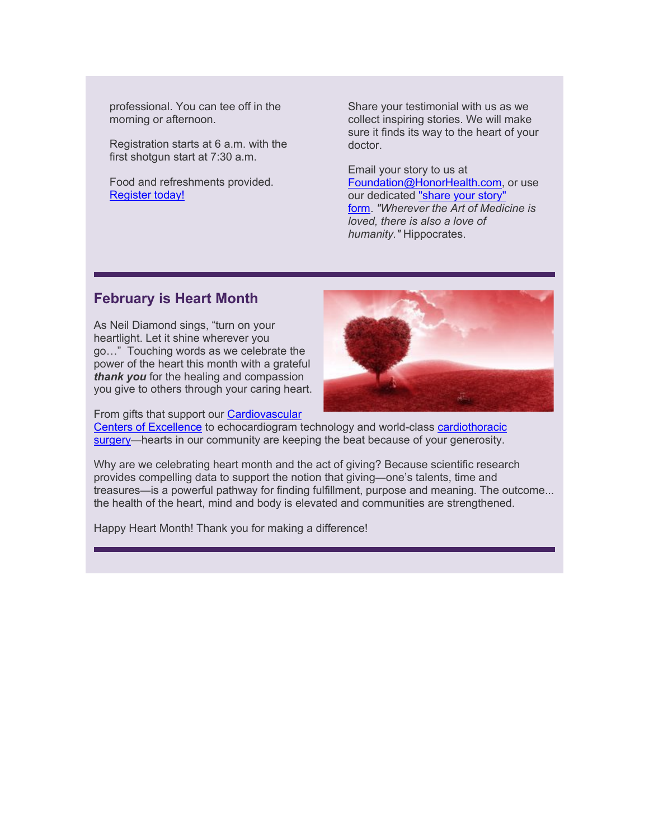professional. You can tee off in the morning or afternoon.

Registration starts at 6 a.m. with the first shotgun start at 7:30 a.m.

Food and refreshments provided. [Register today!](https://urldefense.com/v3/__https:/eml-pusa01.app.blackbaud.net/intv2/j/CF77140A-02B1-4C62-ACFA-A8D24DACA862/r/CF77140A-02B1-4C62-ACFA-A8D24DACA862_d33535db-afd3-4cf2-b20a-c528552561cf/l/750BBCFB-3AD4-4953-BFB6-3BAF6587827D/c__;!!AtGvImiT!mzldLfk1YOpGS8zJ6shJ5eZj8wpYndxVzod4XpsX5IhfgfDNmnT2f0H9up-Hw1ZcLg$)

Share your testimonial with us as we collect inspiring stories. We will make sure it finds its way to the heart of your doctor.

Email your story to us at [Foundation@HonorHealth.com,](mailto:Foundation@HonorHealth.com?subject=Doctors) or use our dedicated ["share your story"](https://urldefense.com/v3/__https:/eml-pusa01.app.blackbaud.net/intv2/j/CF77140A-02B1-4C62-ACFA-A8D24DACA862/r/CF77140A-02B1-4C62-ACFA-A8D24DACA862_d33535db-afd3-4cf2-b20a-c528552561cf/l/2A0270D4-6D64-4A87-B7D2-BD9857AB439F/c__;!!AtGvImiT!mzldLfk1YOpGS8zJ6shJ5eZj8wpYndxVzod4XpsX5IhfgfDNmnT2f0H9up_li_impg$)  [form.](https://urldefense.com/v3/__https:/eml-pusa01.app.blackbaud.net/intv2/j/CF77140A-02B1-4C62-ACFA-A8D24DACA862/r/CF77140A-02B1-4C62-ACFA-A8D24DACA862_d33535db-afd3-4cf2-b20a-c528552561cf/l/2A0270D4-6D64-4A87-B7D2-BD9857AB439F/c__;!!AtGvImiT!mzldLfk1YOpGS8zJ6shJ5eZj8wpYndxVzod4XpsX5IhfgfDNmnT2f0H9up_li_impg$) *"Wherever the Art of Medicine is loved, there is also a love of humanity."* Hippocrates.

### **February is Heart Month**

As Neil Diamond sings, "turn on your heartlight. Let it shine wherever you go…" Touching words as we celebrate the power of the heart this month with a grateful *thank you* for the healing and compassion you give to others through your caring heart.



From gifts that support our [Cardiovascular](https://urldefense.com/v3/__https:/eml-pusa01.app.blackbaud.net/intv2/j/CF77140A-02B1-4C62-ACFA-A8D24DACA862/r/CF77140A-02B1-4C62-ACFA-A8D24DACA862_d33535db-afd3-4cf2-b20a-c528552561cf/l/726BBAA6-0671-4E58-8FB0-1A8C348790E6/c__;!!AtGvImiT!mzldLfk1YOpGS8zJ6shJ5eZj8wpYndxVzod4XpsX5IhfgfDNmnT2f0H9up_odZrWBA$) 

[Centers of Excellence](https://urldefense.com/v3/__https:/eml-pusa01.app.blackbaud.net/intv2/j/CF77140A-02B1-4C62-ACFA-A8D24DACA862/r/CF77140A-02B1-4C62-ACFA-A8D24DACA862_d33535db-afd3-4cf2-b20a-c528552561cf/l/726BBAA6-0671-4E58-8FB0-1A8C348790E6/c__;!!AtGvImiT!mzldLfk1YOpGS8zJ6shJ5eZj8wpYndxVzod4XpsX5IhfgfDNmnT2f0H9up_odZrWBA$) to echocardiogram technology and world-class [cardiothoracic](https://urldefense.com/v3/__https:/eml-pusa01.app.blackbaud.net/intv2/j/CF77140A-02B1-4C62-ACFA-A8D24DACA862/r/CF77140A-02B1-4C62-ACFA-A8D24DACA862_d33535db-afd3-4cf2-b20a-c528552561cf/l/345E81EE-35E8-46E6-89AE-A9B92ECE3CD9/c__;!!AtGvImiT!mzldLfk1YOpGS8zJ6shJ5eZj8wpYndxVzod4XpsX5IhfgfDNmnT2f0H9up_8owj-TA$)  [surgery—](https://urldefense.com/v3/__https:/eml-pusa01.app.blackbaud.net/intv2/j/CF77140A-02B1-4C62-ACFA-A8D24DACA862/r/CF77140A-02B1-4C62-ACFA-A8D24DACA862_d33535db-afd3-4cf2-b20a-c528552561cf/l/345E81EE-35E8-46E6-89AE-A9B92ECE3CD9/c__;!!AtGvImiT!mzldLfk1YOpGS8zJ6shJ5eZj8wpYndxVzod4XpsX5IhfgfDNmnT2f0H9up_8owj-TA$)hearts in our community are keeping the beat because of your generosity.

Why are we celebrating heart month and the act of giving? Because scientific research provides compelling data to support the notion that giving—one's talents, time and treasures—is a powerful pathway for finding fulfillment, purpose and meaning. The outcome... the health of the heart, mind and body is elevated and communities are strengthened.

Happy Heart Month! Thank you for making a difference!